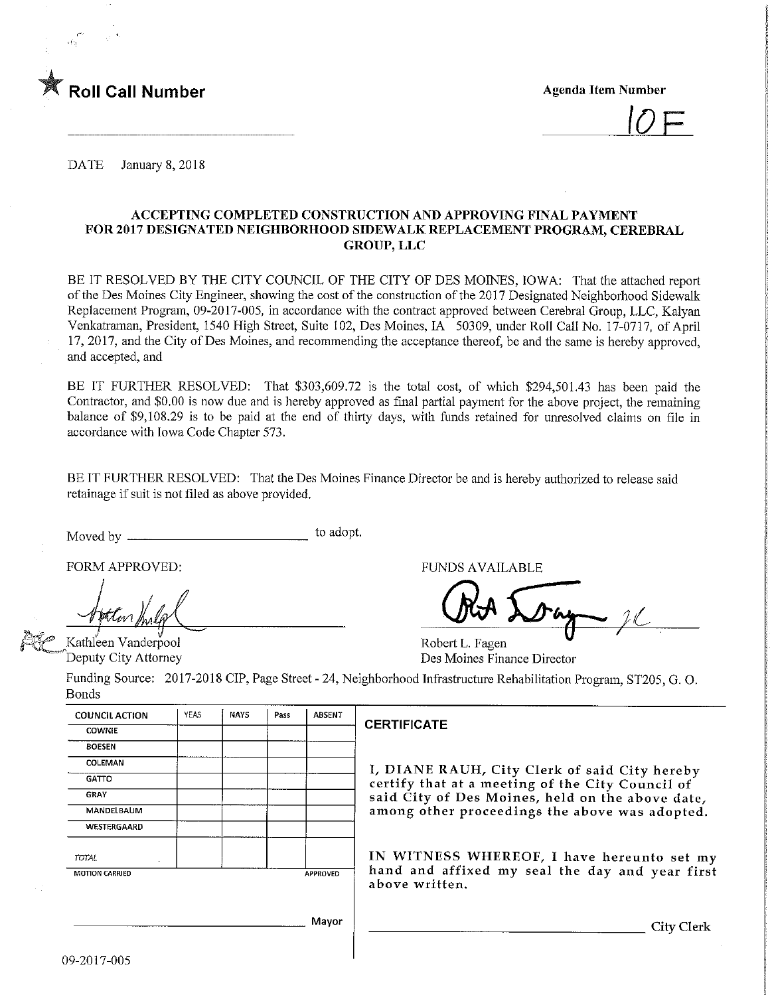

 $\overline{1}$ 

DATE January 8, 2018

#### ACCEPTING COMPLETED CONSTRUCTION AND APPROVING FINAL PAYMENT FOR 2017 DESIGNATED NEIGHBORHOOD STOEWALK REPLACEMENT PROGRAM, CEREBRAL GROUP, LLC

BE IT RESOLVED BY THE CITY COUNCIL OF THE CITY OF DES MOINES, IOWA: That the attached report of the Des Moines City Engineer, showing the cost of the construction of the 2017 Designated Neighborhood Sidewalk Replacement Program, 09-2017-005, in accordance with the contract approved between Cerebral Group, LLC, Kalyan Venkatraman, President, 1540 High Street, Suite 102, Des Moines, IA 50309, under Roll Call No. 17-0717, of April 17, 2017, and the City of Des Moines, and recommending the acceptance thereof, be and the same is hereby approved, and accepted, and

BE IT FURTHER RESOLVED: That \$303,609.72 is the total cost, of which \$294,501.43 has been paid the Contractor, and \$0.00 is now due and is hereby approved as final partial payment for the above project, the remaming balance of \$9,108.29 is to be paid at the end of thirty days, with funds retained for unresolved claims on file in accordance with Iowa Code Chapter 573.

BE IT FURTHER RESOLVED: That the Des Moines Finance Director be and is hereby authorized to release said retainage if suit is not filed as above provided.

Moved by to adopt.

Kathleen Vanderpool Deputy City Attorney

FORM APPROVED: THE RESERVED OF THE RESERVED OF THE RESERVED OF THE RESERVED OF THE RESERVED OF THE RESERVED OF THE RESERVED OF THE RESERVED OF THE RESERVED OF THE RESERVED OF THE RESERVED OF THE RESERVED OF THE RESERVED OF

Robert L. Fagen Des Moines Finance Director

Funding Source: 2017-2018 CIP, Page Street - 24, Neighborhood Infrastructure Rehabilitation Program, ST205, G. 0. Bonds

| <b>COUNCIL ACTION</b> | YEAS | <b>NAYS</b> | Pass | ABSENT   |   |
|-----------------------|------|-------------|------|----------|---|
| <b>COWNIE</b>         |      |             |      |          | t |
| <b>BOESEN</b>         |      |             |      |          |   |
| COLEMAN               |      |             |      |          |   |
| <b>GATTO</b>          |      |             |      |          |   |
| GRAY                  |      |             |      |          |   |
| MANDELBAUM            |      |             |      |          |   |
| WESTERGAARD           |      |             |      |          |   |
| <b>TOTAL</b><br>۰     |      |             |      |          |   |
| <b>MOTION CARRIED</b> |      |             |      | APPROVED |   |
|                       |      |             |      |          |   |
|                       |      |             |      |          |   |
|                       |      |             |      | Mayor    |   |
|                       |      |             |      |          |   |

#### CERTIFICATE

I/ DIANE RAUH/ City Clerk of said City hereby certify that at a meeting of the City Council of said City of Des Moines, held on the above date, among other proceedings the above was adopted.

IN WITNESS WHEREOF, I have hereunto set my hand and affixed my seal the day and year first above written.

City Clerk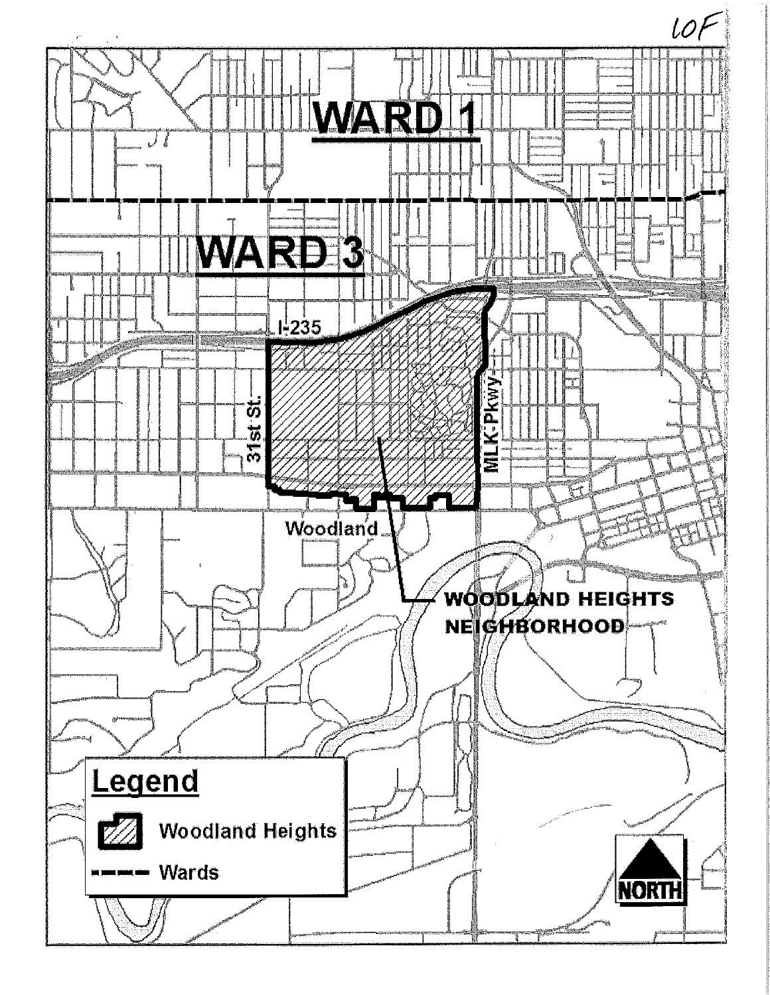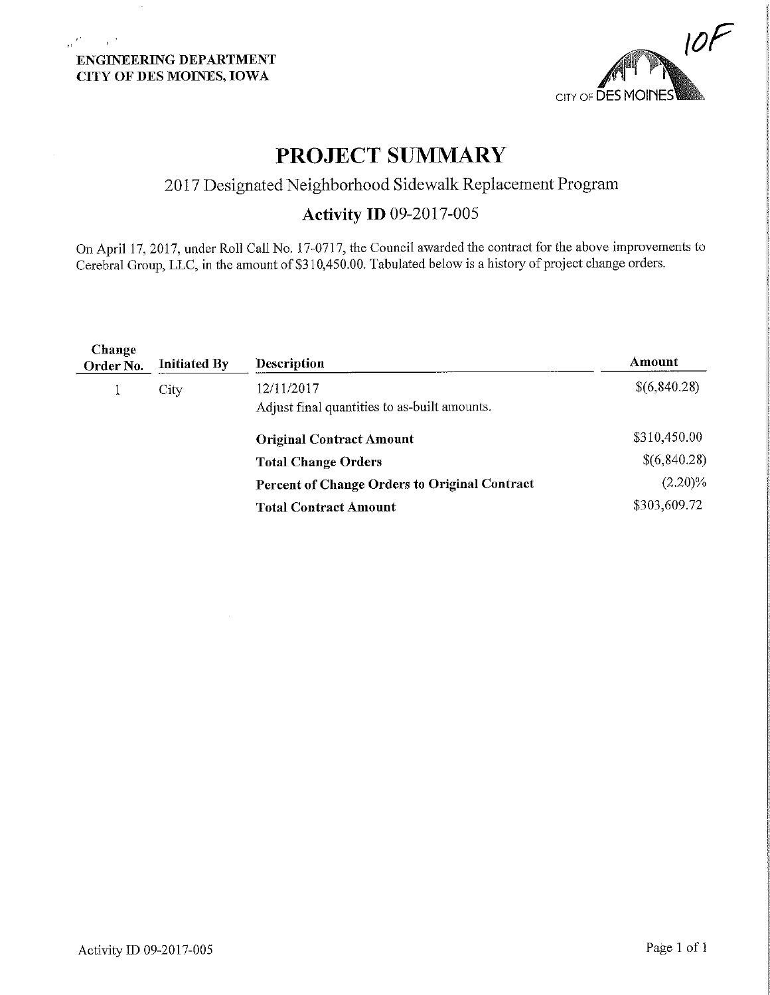### ENGINEERING DEPARTMENT CITY OF DES MOINES, IOWA

 $\frac{1}{\Omega} \frac{d^2}{dx^2}$  ,  $\frac{1}{\Omega} \frac{d^2}{dx^2}$ 

 $\alpha$ 



# PROJECT SUMMARY

## 2017 Designated Neighborhood Sidewalk Replacement Program

### Activity ID 09-2017-005

On April 17, 2017, under Roll Call No. 17-0717, the Council awarded the contract for the above improvements to Cerebral Group, LLC, in the amount of \$310,450.00. Tabulated below is a history of project change orders.

| Change<br>Order No. | <b>Initiated By</b> | <b>Description</b>                                         | Amount       |
|---------------------|---------------------|------------------------------------------------------------|--------------|
|                     | City                | 12/11/2017<br>Adjust final quantities to as-built amounts. | \$(6,840.28) |
|                     |                     | <b>Original Contract Amount</b>                            | \$310,450.00 |
|                     |                     | <b>Total Change Orders</b>                                 | \$(6,840.28) |
|                     |                     | Percent of Change Orders to Original Contract              | $(2.20)\%$   |
|                     |                     | <b>Total Contract Amount</b>                               | \$303,609.72 |
|                     |                     |                                                            |              |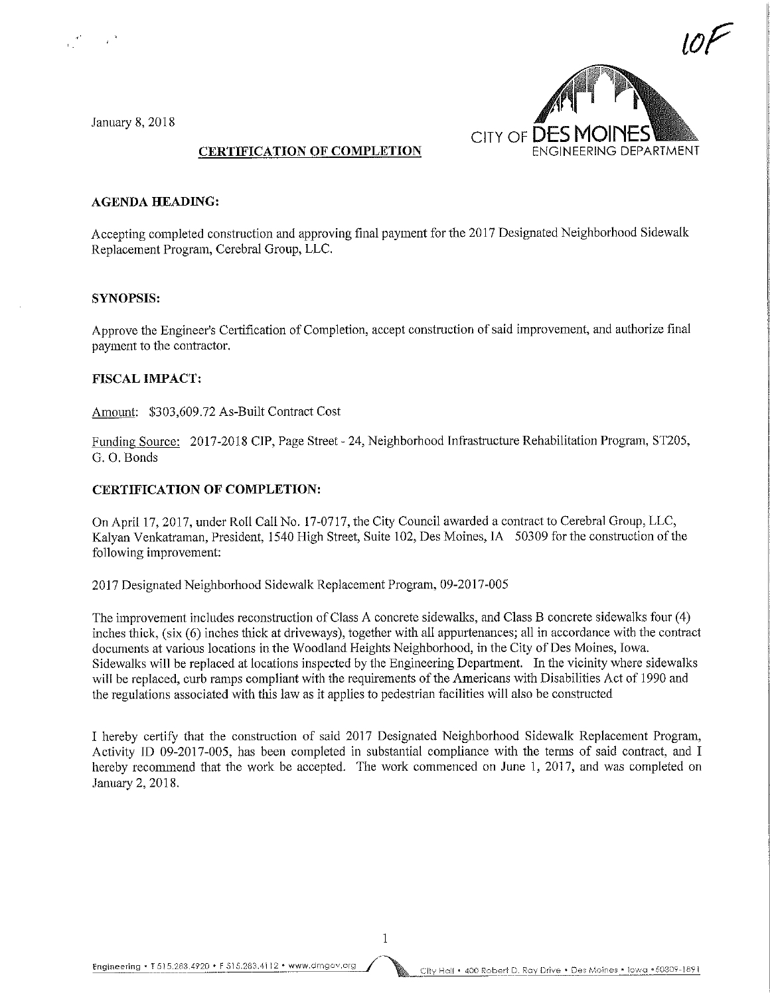January 8, 2018



#### CERTIFICATION OF COMPLETION

#### AGENDA HEADING:

Accepting completed construction and approving final payment for the 2017 Designated Neighborhood Sidewalk Replacement Program, Cerebral Group, LLC.

#### SYNOPSIS:

Approve the Engineer's Certification of Completion, accept construction of said improvement, and authorize final payment to the contractor.

#### FISCAL IMPACT:

Amount: \$303,609.72 As-Built Contract Cost

Funding Source: 2017-2018 CJP, Page Street - 24, Neighborhood Infrastructure Rehabilitation Program, ST205, G. 0. Bonds

#### CERTIFICATION OF COMPLETION:

On April 17, 2017, under Roll Call No. 17-0717, the City Council awarded a contract to Cerebral Group, LLC, Kalyan Venkatraman, President, 1540 High Street, Suite 102, Des Moines, IA 50309 for the construction of the following improvement:

2017 Designated Neighborhood Sidewalk Replacement Program, 09-2017-005

The improvement includes reconstruction of Class A concrete sidewalks, and Class B concrete sidewalks four (4) inches thick, (six (6) inches thick at driveways), together with all appurtenances; all in accordance with the contract documents at various locations in the Woodland Heights Neighborhood, in the City of Des Moines, Iowa. Sidewalks will be replaced at locations inspected by the Engineering Department. In the vicinity where sidewalks will be replaced, curb ramps compliant with the requirements of the Americans with Disabilities Act of 1990 and the regulations associated with this law as it applies to pedestrian facilities will also be constructed

I hereby certify that the construction of said 2017 Designated Neighborhood Sidewalk Replacement Program, Activity ID 09-2017-005, has been completed in substantial compliance with the terms of said contract, and I hereby recommend that the work be accepted. The work commenced on June 1, 2017, and was completed on January 2, 2018.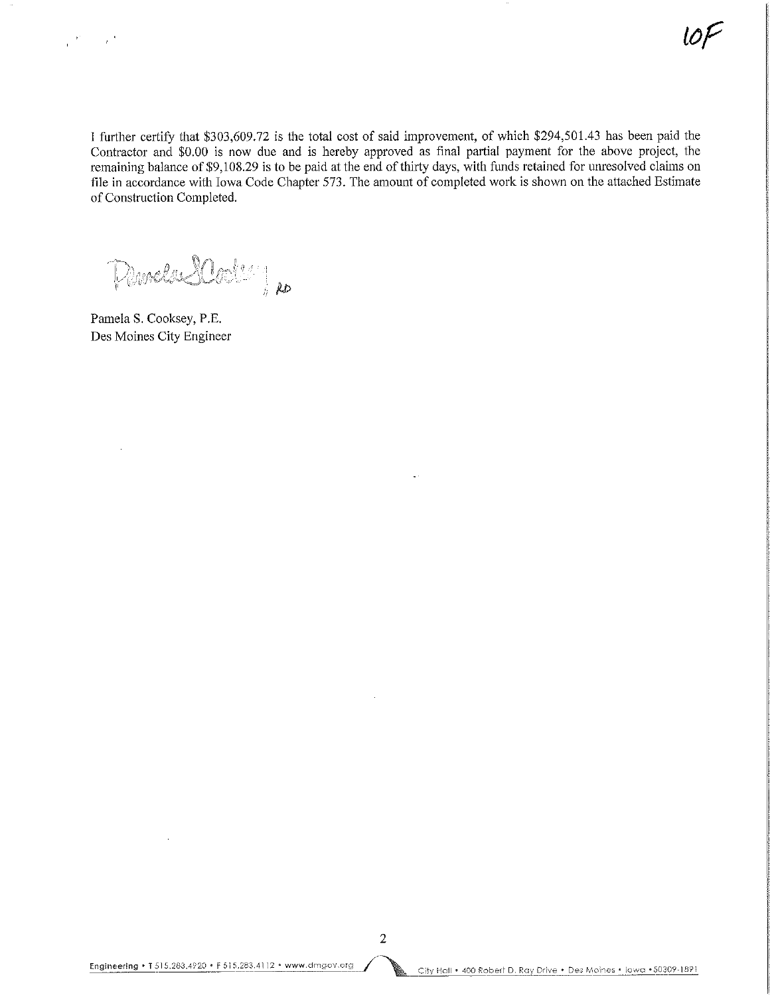I further certify that \$303,609.72 is the total cost of said improvement, of which \$294,501.43 has been paid the Contractor and \$0.00 is now due and is hereby approved as final partial payment for the above project, the remaining balance of \$9,108.29 is to be paid at the end of thirty days, with funds retained for unresolved claims on file in accordance with Iowa Code Chapter 573. The amount of completed work is shown on the attached Estimate of Construction Completed.

 $\mathcal{P}_\mathcal{P}_\mathcal{P}$   $\mathcal{P}_\mathcal{P}$ 

Pamela S. Cooksey, P.E. Des Moines City Engineer

 $\sim$   $^{-1}$